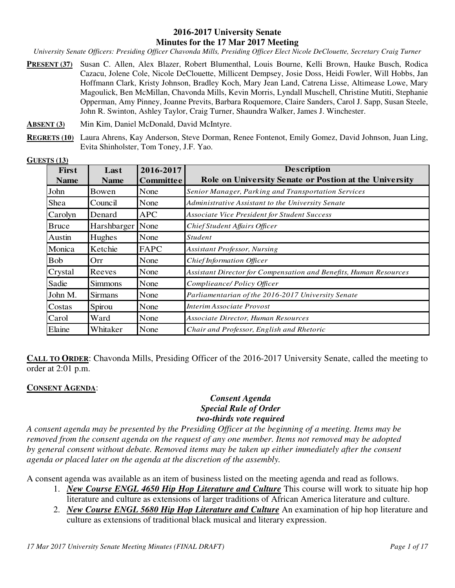#### **2016-2017 University Senate Minutes for the 17 Mar 2017 Meeting**

*University Senate Officers: Presiding Officer Chavonda Mills, Presiding Officer Elect Nicole DeClouette, Secretary Craig Turner* 

- **PRESENT (37)** Susan C. Allen, Alex Blazer, Robert Blumenthal, Louis Bourne, Kelli Brown, Hauke Busch, Rodica Cazacu, Jolene Cole, Nicole DeClouette, Millicent Dempsey, Josie Doss, Heidi Fowler, Will Hobbs, Jan Hoffmann Clark, Kristy Johnson, Bradley Koch, Mary Jean Land, Catrena Lisse, Altimease Lowe, Mary Magoulick, Ben McMillan, Chavonda Mills, Kevin Morris, Lyndall Muschell, Christine Mutiti, Stephanie Opperman, Amy Pinney, Joanne Previts, Barbara Roquemore, Claire Sanders, Carol J. Sapp, Susan Steele, John R. Swinton, Ashley Taylor, Craig Turner, Shaundra Walker, James J. Winchester.
- **ABSENT (3)** Min Kim, Daniel McDonald, David McIntyre.
- **REGRETS (10)** Laura Ahrens, Kay Anderson, Steve Dorman, Renee Fontenot, Emily Gomez, David Johnson, Juan Ling, Evita Shinholster, Tom Toney, J.F. Yao.

| GUESTS(13)   |                |                  |                                                                   |
|--------------|----------------|------------------|-------------------------------------------------------------------|
| <b>First</b> | Last           | 2016-2017        | <b>Description</b>                                                |
| <b>Name</b>  | <b>Name</b>    | <b>Committee</b> | Role on University Senate or Postion at the University            |
| John         | Bowen          | None             | Senior Manager, Parking and Transportation Services               |
| Shea         | Council        | None             | Administrative Assistant to the University Senate                 |
| Carolyn      | Denard         | <b>APC</b>       | <b>Associate Vice President for Student Success</b>               |
| <b>Bruce</b> | Harshbarger    | None             | Chief Student Affairs Officer                                     |
| Austin       | Hughes         | None             | <b>Student</b>                                                    |
| Monica       | Ketchie        | FAPC             | Assistant Professor, Nursing                                      |
| <b>Bob</b>   | Orr            | None             | Chief Information Officer                                         |
| Crystal      | Reeves         | None             | Assistant Director for Compensation and Benefits, Human Resources |
| Sadie        | <b>Simmons</b> | None             | Complieance/ Policy Officer                                       |
| John M.      | <b>Sirmans</b> | None             | Parliamentarian of the 2016-2017 University Senate                |
| Costas       | Spirou         | None             | Interim Associate Provost                                         |
| Carol        | Ward           | None             | Associate Director, Human Resources                               |
| Elaine       | Whitaker       | None             | Chair and Professor, English and Rhetoric                         |

**CALL TO ORDER:** Chavonda Mills, Presiding Officer of the 2016-2017 University Senate, called the meeting to order at 2:01 p.m.

#### **CONSENT AGENDA**:

## *Consent Agenda Special Rule of Order two-thirds vote required*

*A consent agenda may be presented by the Presiding Officer at the beginning of a meeting. Items may be removed from the consent agenda on the request of any one member. Items not removed may be adopted by general consent without debate. Removed items may be taken up either immediately after the consent agenda or placed later on the agenda at the discretion of the assembly.* 

A consent agenda was available as an item of business listed on the meeting agenda and read as follows.

- 1. *New Course ENGL 4650 Hip Hop Literature and Culture* This course will work to situate hip hop literature and culture as extensions of larger traditions of African America literature and culture.
- 2. *New Course ENGL 5680 Hip Hop Literature and Culture* An examination of hip hop literature and culture as extensions of traditional black musical and literary expression.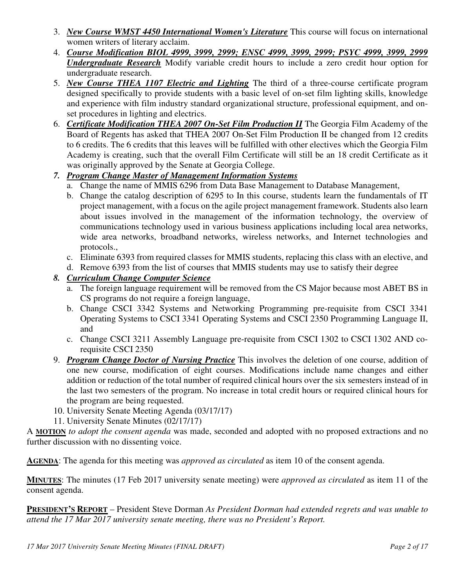- 3. *New Course WMST 4450 International Women's Literature* This course will focus on international women writers of literary acclaim.
- 4. *Course Modification BIOL 4999, 3999, 2999; ENSC 4999, 3999, 2999; PSYC 4999, 3999, 2999 Undergraduate Research* Modify variable credit hours to include a zero credit hour option for undergraduate research.
- 5. *New Course THEA 1107 Electric and Lighting* The third of a three-course certificate program designed specifically to provide students with a basic level of on-set film lighting skills, knowledge and experience with film industry standard organizational structure, professional equipment, and onset procedures in lighting and electrics.
- 6. *Certificate Modification THEA 2007 On-Set Film Production II* The Georgia Film Academy of the Board of Regents has asked that THEA 2007 On-Set Film Production II be changed from 12 credits to 6 credits. The 6 credits that this leaves will be fulfilled with other electives which the Georgia Film Academy is creating, such that the overall Film Certificate will still be an 18 credit Certificate as it was originally approved by the Senate at Georgia College.

# *7. Program Change Master of Management Information Systems*

- a. Change the name of MMIS 6296 from Data Base Management to Database Management,
- b. Change the catalog description of 6295 to In this course, students learn the fundamentals of IT project management, with a focus on the agile project management framework. Students also learn about issues involved in the management of the information technology, the overview of communications technology used in various business applications including local area networks, wide area networks, broadband networks, wireless networks, and Internet technologies and protocols.,
- c. Eliminate 6393 from required classes for MMIS students, replacing this class with an elective, and
- d. Remove 6393 from the list of courses that MMIS students may use to satisfy their degree

# *8. Curriculum Change Computer Science*

- a. The foreign language requirement will be removed from the CS Major because most ABET BS in CS programs do not require a foreign language,
- b. Change CSCI 3342 Systems and Networking Programming pre-requisite from CSCI 3341 Operating Systems to CSCI 3341 Operating Systems and CSCI 2350 Programming Language II, and
- c. Change CSCI 3211 Assembly Language pre-requisite from CSCI 1302 to CSCI 1302 AND corequisite CSCI 2350
- 9. *Program Change Doctor of Nursing Practice* This involves the deletion of one course, addition of one new course, modification of eight courses. Modifications include name changes and either addition or reduction of the total number of required clinical hours over the six semesters instead of in the last two semesters of the program. No increase in total credit hours or required clinical hours for the program are being requested.
- 10. University Senate Meeting Agenda (03/17/17)
- 11. University Senate Minutes (02/17/17)

A **MOTION** *to adopt the consent agenda* was made, seconded and adopted with no proposed extractions and no further discussion with no dissenting voice.

**AGENDA**: The agenda for this meeting was *approved as circulated* as item 10 of the consent agenda.

**MINUTES**: The minutes (17 Feb 2017 university senate meeting) were *approved as circulated* as item 11 of the consent agenda.

**PRESIDENT'S REPORT** – President Steve Dorman *As President Dorman had extended regrets and was unable to attend the 17 Mar 2017 university senate meeting, there was no President's Report.*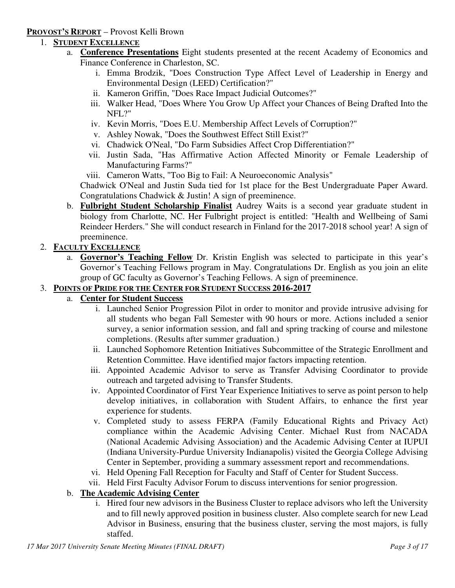#### **PROVOST'S REPORT** – Provost Kelli Brown

## 1. **STUDENT EXCELLENCE**

- a. **Conference Presentations** Eight students presented at the recent Academy of Economics and Finance Conference in Charleston, SC.
	- i. Emma Brodzik, "Does Construction Type Affect Level of Leadership in Energy and Environmental Design (LEED) Certification?"
	- ii. Kameron Griffin, "Does Race Impact Judicial Outcomes?"
	- iii. Walker Head, "Does Where You Grow Up Affect your Chances of Being Drafted Into the NFL?"
	- iv. Kevin Morris, "Does E.U. Membership Affect Levels of Corruption?"
	- v. Ashley Nowak, "Does the Southwest Effect Still Exist?"
	- vi. Chadwick O'Neal, "Do Farm Subsidies Affect Crop Differentiation?"
	- vii. Justin Sada, "Has Affirmative Action Affected Minority or Female Leadership of Manufacturing Farms?"
	- viii. Cameron Watts, "Too Big to Fail: A Neuroeconomic Analysis"

Chadwick O'Neal and Justin Suda tied for 1st place for the Best Undergraduate Paper Award. Congratulations Chadwick & Justin! A sign of preeminence.

b. **Fulbright Student Scholarship Finalist** Audrey Waits is a second year graduate student in biology from Charlotte, NC. Her Fulbright project is entitled: "Health and Wellbeing of Sami Reindeer Herders." She will conduct research in Finland for the 2017-2018 school year! A sign of preeminence.

## 2. **FACULTY EXCELLENCE**

a. **Governor's Teaching Fellow** Dr. Kristin English was selected to participate in this year's Governor's Teaching Fellows program in May. Congratulations Dr. English as you join an elite group of GC faculty as Governor's Teaching Fellows. A sign of preeminence.

#### 3. **POINTS OF PRIDE FOR THE CENTER FOR STUDENT SUCCESS 2016-2017**

## a. **Center for Student Success**

- i. Launched Senior Progression Pilot in order to monitor and provide intrusive advising for all students who began Fall Semester with 90 hours or more. Actions included a senior survey, a senior information session, and fall and spring tracking of course and milestone completions. (Results after summer graduation.)
- ii. Launched Sophomore Retention Initiatives Subcommittee of the Strategic Enrollment and Retention Committee. Have identified major factors impacting retention.
- iii. Appointed Academic Advisor to serve as Transfer Advising Coordinator to provide outreach and targeted advising to Transfer Students.
- iv. Appointed Coordinator of First Year Experience Initiatives to serve as point person to help develop initiatives, in collaboration with Student Affairs, to enhance the first year experience for students.
- v. Completed study to assess FERPA (Family Educational Rights and Privacy Act) compliance within the Academic Advising Center. Michael Rust from NACADA (National Academic Advising Association) and the Academic Advising Center at IUPUI (Indiana University-Purdue University Indianapolis) visited the Georgia College Advising Center in September, providing a summary assessment report and recommendations.
- vi. Held Opening Fall Reception for Faculty and Staff of Center for Student Success.
- vii. Held First Faculty Advisor Forum to discuss interventions for senior progression.

#### b. **The Academic Advising Center**

i. Hired four new advisors in the Business Cluster to replace advisors who left the University and to fill newly approved position in business cluster. Also complete search for new Lead Advisor in Business, ensuring that the business cluster, serving the most majors, is fully staffed.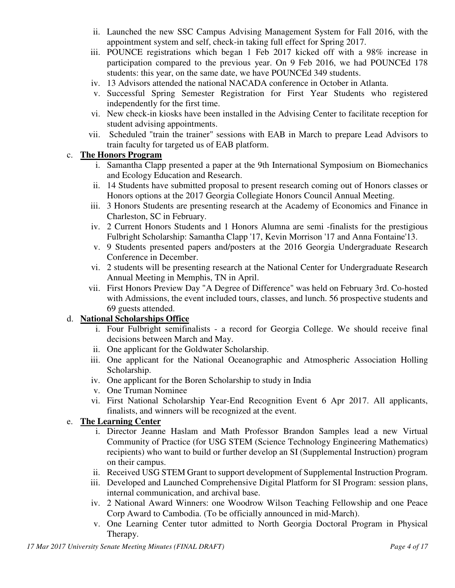- ii. Launched the new SSC Campus Advising Management System for Fall 2016, with the appointment system and self, check-in taking full effect for Spring 2017.
- iii. POUNCE registrations which began 1 Feb 2017 kicked off with a 98% increase in participation compared to the previous year. On 9 Feb 2016, we had POUNCEd 178 students: this year, on the same date, we have POUNCEd 349 students.
- iv. 13 Advisors attended the national NACADA conference in October in Atlanta.
- v. Successful Spring Semester Registration for First Year Students who registered independently for the first time.
- vi. New check-in kiosks have been installed in the Advising Center to facilitate reception for student advising appointments.
- vii. Scheduled "train the trainer" sessions with EAB in March to prepare Lead Advisors to train faculty for targeted us of EAB platform.

# c. **The Honors Program**

- i. Samantha Clapp presented a paper at the 9th International Symposium on Biomechanics and Ecology Education and Research.
- ii. 14 Students have submitted proposal to present research coming out of Honors classes or Honors options at the 2017 Georgia Collegiate Honors Council Annual Meeting.
- iii. 3 Honors Students are presenting research at the Academy of Economics and Finance in Charleston, SC in February.
- iv. 2 Current Honors Students and 1 Honors Alumna are semi -finalists for the prestigious Fulbright Scholarship: Samantha Clapp '17, Kevin Morrison '17 and Anna Fontaine'13.
- v. 9 Students presented papers and/posters at the 2016 Georgia Undergraduate Research Conference in December.
- vi. 2 students will be presenting research at the National Center for Undergraduate Research Annual Meeting in Memphis, TN in April.
- vii. First Honors Preview Day "A Degree of Difference" was held on February 3rd. Co-hosted with Admissions, the event included tours, classes, and lunch. 56 prospective students and 69 guests attended.

# d. **National Scholarships Office**

- i. Four Fulbright semifinalists a record for Georgia College. We should receive final decisions between March and May.
- ii. One applicant for the Goldwater Scholarship.
- iii. One applicant for the National Oceanographic and Atmospheric Association Holling Scholarship.
- iv. One applicant for the Boren Scholarship to study in India
- v. One Truman Nominee
- vi. First National Scholarship Year-End Recognition Event 6 Apr 2017. All applicants, finalists, and winners will be recognized at the event.

# e. **The Learning Center**

- i. Director Jeanne Haslam and Math Professor Brandon Samples lead a new Virtual Community of Practice (for USG STEM (Science Technology Engineering Mathematics) recipients) who want to build or further develop an SI (Supplemental Instruction) program on their campus.
- ii. Received USG STEM Grant to support development of Supplemental Instruction Program.
- iii. Developed and Launched Comprehensive Digital Platform for SI Program: session plans, internal communication, and archival base.
- iv. 2 National Award Winners: one Woodrow Wilson Teaching Fellowship and one Peace Corp Award to Cambodia. (To be officially announced in mid-March).
- v. One Learning Center tutor admitted to North Georgia Doctoral Program in Physical Therapy.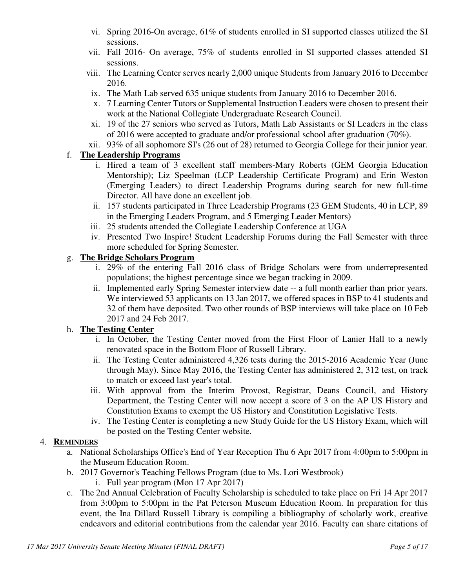- vi. Spring 2016-On average, 61% of students enrolled in SI supported classes utilized the SI sessions.
- vii. Fall 2016- On average, 75% of students enrolled in SI supported classes attended SI sessions.
- viii. The Learning Center serves nearly 2,000 unique Students from January 2016 to December 2016.
- ix. The Math Lab served 635 unique students from January 2016 to December 2016.
- x. 7 Learning Center Tutors or Supplemental Instruction Leaders were chosen to present their work at the National Collegiate Undergraduate Research Council.
- xi. 19 of the 27 seniors who served as Tutors, Math Lab Assistants or SI Leaders in the class of 2016 were accepted to graduate and/or professional school after graduation (70%).
- xii. 93% of all sophomore SI's (26 out of 28) returned to Georgia College for their junior year.

## f. **The Leadership Programs**

- i. Hired a team of 3 excellent staff members-Mary Roberts (GEM Georgia Education Mentorship); Liz Speelman (LCP Leadership Certificate Program) and Erin Weston (Emerging Leaders) to direct Leadership Programs during search for new full-time Director. All have done an excellent job.
- ii. 157 students participated in Three Leadership Programs (23 GEM Students, 40 in LCP, 89 in the Emerging Leaders Program, and 5 Emerging Leader Mentors)
- iii. 25 students attended the Collegiate Leadership Conference at UGA
- iv. Presented Two Inspire! Student Leadership Forums during the Fall Semester with three more scheduled for Spring Semester.

## g. **The Bridge Scholars Program**

- i. 29% of the entering Fall 2016 class of Bridge Scholars were from underrepresented populations; the highest percentage since we began tracking in 2009.
- ii. Implemented early Spring Semester interview date -- a full month earlier than prior years. We interviewed 53 applicants on 13 Jan 2017, we offered spaces in BSP to 41 students and 32 of them have deposited. Two other rounds of BSP interviews will take place on 10 Feb 2017 and 24 Feb 2017.

#### h. **The Testing Center**

- i. In October, the Testing Center moved from the First Floor of Lanier Hall to a newly renovated space in the Bottom Floor of Russell Library.
- ii. The Testing Center administered 4,326 tests during the 2015-2016 Academic Year (June through May). Since May 2016, the Testing Center has administered 2, 312 test, on track to match or exceed last year's total.
- iii. With approval from the Interim Provost, Registrar, Deans Council, and History Department, the Testing Center will now accept a score of 3 on the AP US History and Constitution Exams to exempt the US History and Constitution Legislative Tests.
- iv. The Testing Center is completing a new Study Guide for the US History Exam, which will be posted on the Testing Center website.

#### 4. **REMINDERS**

- a. National Scholarships Office's End of Year Reception Thu 6 Apr 2017 from 4:00pm to 5:00pm in the Museum Education Room.
- b. 2017 Governor's Teaching Fellows Program (due to Ms. Lori Westbrook)
	- i. Full year program (Mon 17 Apr 2017)
- c. The 2nd Annual Celebration of Faculty Scholarship is scheduled to take place on Fri 14 Apr 2017 from 3:00pm to 5:00pm in the Pat Peterson Museum Education Room. In preparation for this event, the Ina Dillard Russell Library is compiling a bibliography of scholarly work, creative endeavors and editorial contributions from the calendar year 2016. Faculty can share citations of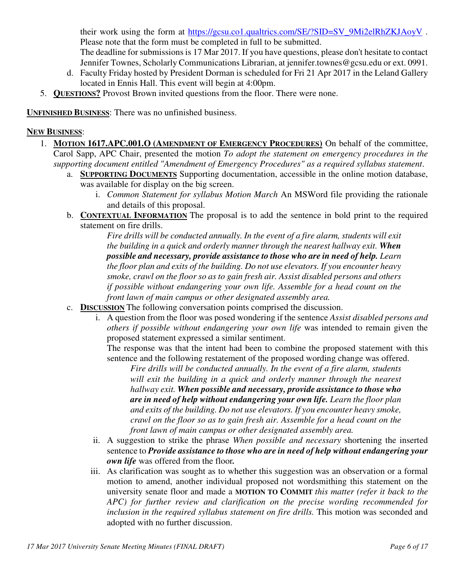their work using the form at https://gcsu.co1.qualtrics.com/SE/?SID=SV\_9Mi2elRhZKJAoyV. Please note that the form must be completed in full to be submitted. The deadline for submissions is 17 Mar 2017. If you have questions, please don't hesitate to contact Jennifer Townes, Scholarly Communications Librarian, at jennifer.townes@gcsu.edu or ext. 0991.

- d. Faculty Friday hosted by President Dorman is scheduled for Fri 21 Apr 2017 in the Leland Gallery located in Ennis Hall. This event will begin at 4:00pm.
- 5. **QUESTIONS?** Provost Brown invited questions from the floor. There were none.

**UNFINISHED BUSINESS**: There was no unfinished business.

#### **NEW BUSINESS**:

- 1. **MOTION 1617.APC.001.O (AMENDMENT OF EMERGENCY PROCEDURES)** On behalf of the committee, Carol Sapp, APC Chair, presented the motion *To adopt the statement on emergency procedures in the supporting document entitled "Amendment of Emergency Procedures" as a required syllabus statement*.
	- a. **SUPPORTING DOCUMENTS** Supporting documentation, accessible in the online motion database, was available for display on the big screen.
		- i. *Common Statement for syllabus Motion March* An MSWord file providing the rationale and details of this proposal.
	- b. **CONTEXTUAL INFORMATION** The proposal is to add the sentence in bold print to the required statement on fire drills.

*Fire drills will be conducted annually. In the event of a fire alarm, students will exit the building in a quick and orderly manner through the nearest hallway exit. When possible and necessary, provide assistance to those who are in need of help. Learn the floor plan and exits of the building. Do not use elevators. If you encounter heavy smoke, crawl on the floor so as to gain fresh air. Assist disabled persons and others if possible without endangering your own life. Assemble for a head count on the front lawn of main campus or other designated assembly area.* 

- c. **DISCUSSION** The following conversation points comprised the discussion.
	- i. A question from the floor was posed wondering if the sentence *Assist disabled persons and others if possible without endangering your own life* was intended to remain given the proposed statement expressed a similar sentiment.

The response was that the intent had been to combine the proposed statement with this sentence and the following restatement of the proposed wording change was offered.

*Fire drills will be conducted annually. In the event of a fire alarm, students*  will exit the building in a quick and orderly manner through the nearest *hallway exit. When possible and necessary, provide assistance to those who are in need of help without endangering your own life. Learn the floor plan and exits of the building. Do not use elevators. If you encounter heavy smoke, crawl on the floor so as to gain fresh air. Assemble for a head count on the front lawn of main campus or other designated assembly area.* 

- ii. A suggestion to strike the phrase *When possible and necessary* shortening the inserted sentence to *Provide assistance to those who are in need of help without endangering your own life* was offered from the floor*.*
- iii. As clarification was sought as to whether this suggestion was an observation or a formal motion to amend, another individual proposed not wordsmithing this statement on the university senate floor and made a **MOTION TO COMMIT** *this matter (refer it back to the APC) for further review and clarification on the precise wording recommended for inclusion in the required syllabus statement on fire drills*. This motion was seconded and adopted with no further discussion.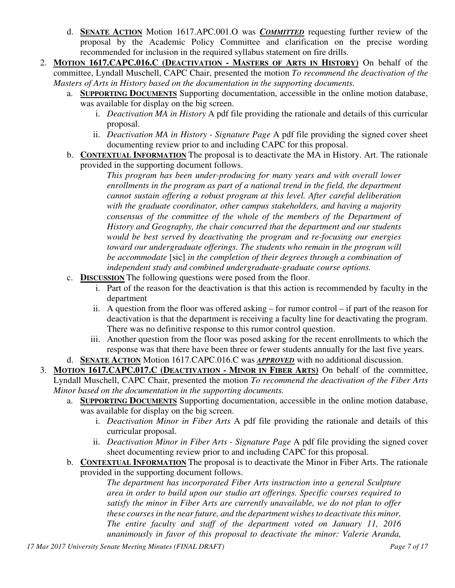- d. **SENATE ACTION** Motion 1617.APC.001.O was *COMMITTED* requesting further review of the proposal by the Academic Policy Committee and clarification on the precise wording recommended for inclusion in the required syllabus statement on fire drills.
- 2. **MOTION 1617.CAPC.016.C (DEACTIVATION - MASTERS OF ARTS IN HISTORY)** On behalf of the committee, Lyndall Muschell, CAPC Chair, presented the motion *To recommend the deactivation of the Masters of Arts in History based on the documentation in the supporting documents.*
	- a. **SUPPORTING DOCUMENTS** Supporting documentation, accessible in the online motion database, was available for display on the big screen.
		- i. *Deactivation MA in History* A pdf file providing the rationale and details of this curricular proposal.
		- ii. *Deactivation MA in History Signature Page* A pdf file providing the signed cover sheet documenting review prior to and including CAPC for this proposal.
	- b. **CONTEXTUAL INFORMATION** The proposal is to deactivate the MA in History. Art. The rationale provided in the supporting document follows.

*This program has been under-producing for many years and with overall lower enrollments in the program as part of a national trend in the field, the department cannot sustain offering a robust program at this level. After careful deliberation with the graduate coordinator, other campus stakeholders, and having a majority consensus of the committee of the whole of the members of the Department of History and Geography, the chair concurred that the department and our students would be best served by deactivating the program and re-focusing our energies toward our undergraduate offerings. The students who remain in the program will be accommodate* [sic] *in the completion of their degrees through a combination of independent study and combined undergraduate-graduate course options.* 

- c. **DISCUSSION** The following questions were posed from the floor.
	- i. Part of the reason for the deactivation is that this action is recommended by faculty in the department
	- ii. A question from the floor was offered asking for rumor control if part of the reason for deactivation is that the department is receiving a faculty line for deactivating the program. There was no definitive response to this rumor control question.
	- iii. Another question from the floor was posed asking for the recent enrollments to which the response was that there have been three or fewer students annually for the last five years.
- d. **SENATE ACTION** Motion 1617.CAPC.016.C was *APPROVED* with no additional discussion.

3. **MOTION 1617.CAPC.017.C (DEACTIVATION - MINOR IN FIBER ARTS)** On behalf of the committee, Lyndall Muschell, CAPC Chair, presented the motion *To recommend the deactivation of the Fiber Arts Minor based on the documentation in the supporting documents.*

- a. **SUPPORTING DOCUMENTS** Supporting documentation, accessible in the online motion database, was available for display on the big screen.
	- i. *Deactivation Minor in Fiber Arts* A pdf file providing the rationale and details of this curricular proposal.
	- ii. *Deactivation Minor in Fiber Arts Signature Page* A pdf file providing the signed cover sheet documenting review prior to and including CAPC for this proposal.
- b. **CONTEXTUAL INFORMATION** The proposal is to deactivate the Minor in Fiber Arts. The rationale provided in the supporting document follows.

*The department has incorporated Fiber Arts instruction into a general Sculpture area in order to build upon our studio art offerings. Specific courses required to satisfy the minor in Fiber Arts are currently unavailable, we do not plan to offer these courses in the near future, and the department wishes to deactivate this minor. The entire faculty and staff of the department voted on January 11, 2016 unanimously in favor of this proposal to deactivate the minor: Valerie Aranda,*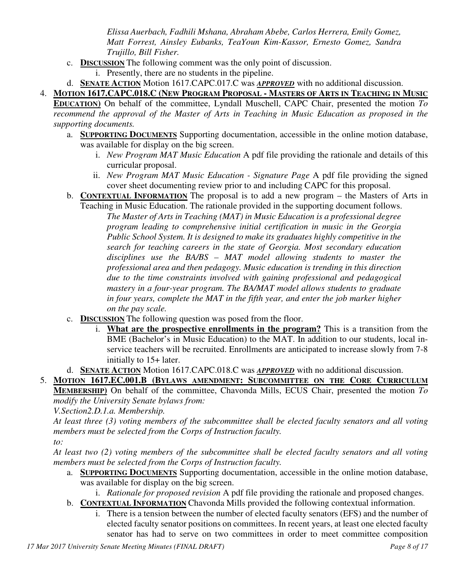*Elissa Auerbach, Fadhili Mshana, Abraham Abebe, Carlos Herrera, Emily Gomez, Matt Forrest, Ainsley Eubanks, TeaYoun Kim-Kassor, Ernesto Gomez, Sandra Trujillo, Bill Fisher.*

- c. **DISCUSSION** The following comment was the only point of discussion.
	- i. Presently, there are no students in the pipeline.
- d. **SENATE ACTION** Motion 1617.CAPC.017.C was *APPROVED* with no additional discussion.
- 4. **MOTION 1617.CAPC.018.C (NEW PROGRAM PROPOSAL - MASTERS OF ARTS IN TEACHING IN MUSIC**

**EDUCATION)** On behalf of the committee, Lyndall Muschell, CAPC Chair, presented the motion *To recommend the approval of the Master of Arts in Teaching in Music Education as proposed in the supporting documents.*

- a. **SUPPORTING DOCUMENTS** Supporting documentation, accessible in the online motion database, was available for display on the big screen.
	- i. *New Program MAT Music Education* A pdf file providing the rationale and details of this curricular proposal.
	- ii. *New Program MAT Music Education Signature Page* A pdf file providing the signed cover sheet documenting review prior to and including CAPC for this proposal.
- b. **CONTEXTUAL INFORMATION** The proposal is to add a new program the Masters of Arts in Teaching in Music Education. The rationale provided in the supporting document follows.

*The Master of Arts in Teaching (MAT) in Music Education is a professional degree program leading to comprehensive initial certification in music in the Georgia Public School System. It is designed to make its graduates highly competitive in the search for teaching careers in the state of Georgia. Most secondary education disciplines use the BA/BS – MAT model allowing students to master the professional area and then pedagogy. Music education is trending in this direction due to the time constraints involved with gaining professional and pedagogical mastery in a four-year program. The BA/MAT model allows students to graduate in four years, complete the MAT in the fifth year, and enter the job marker higher on the pay scale.* 

- c. **DISCUSSION** The following question was posed from the floor.
	- i. **What are the prospective enrollments in the program?** This is a transition from the BME (Bachelor's in Music Education) to the MAT. In addition to our students, local inservice teachers will be recruited. Enrollments are anticipated to increase slowly from 7-8 initially to 15+ later.
- d. **SENATE ACTION** Motion 1617.CAPC.018.C was *APPROVED* with no additional discussion.

5. **MOTION 1617.EC.001.B (BYLAWS AMENDMENT: SUBCOMMITTEE ON THE CORE CURRICULUM MEMBERSHIP)** On behalf of the committee, Chavonda Mills, ECUS Chair, presented the motion *To modify the University Senate bylaws from:*

*V.Section2.D.1.a. Membership.* 

*At least three (3) voting members of the subcommittee shall be elected faculty senators and all voting members must be selected from the Corps of Instruction faculty.* 

*to:* 

*At least two (2) voting members of the subcommittee shall be elected faculty senators and all voting members must be selected from the Corps of Instruction faculty.*

a. **SUPPORTING DOCUMENTS** Supporting documentation, accessible in the online motion database, was available for display on the big screen.

i. *Rationale for proposed revision* A pdf file providing the rationale and proposed changes.

- b. **CONTEXTUAL INFORMATION** Chavonda Mills provided the following contextual information.
	- i. There is a tension between the number of elected faculty senators (EFS) and the number of elected faculty senator positions on committees. In recent years, at least one elected faculty senator has had to serve on two committees in order to meet committee composition

*17 Mar 2017 University Senate Meeting Minutes (FINAL DRAFT) Page 8 of 17*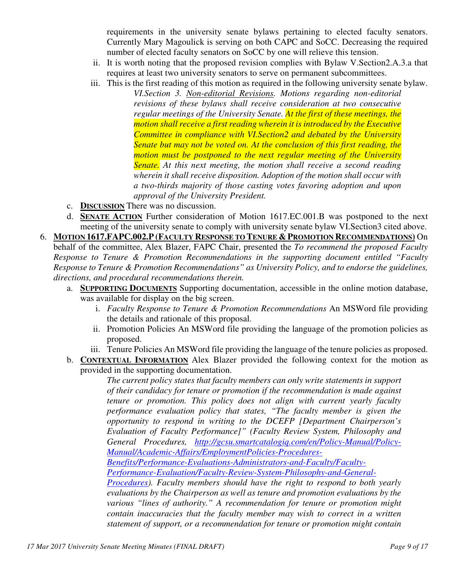requirements in the university senate bylaws pertaining to elected faculty senators. Currently Mary Magoulick is serving on both CAPC and SoCC. Decreasing the required number of elected faculty senators on SoCC by one will relieve this tension.

- ii. It is worth noting that the proposed revision complies with Bylaw V.Section2.A.3.a that requires at least two university senators to serve on permanent subcommittees.
- iii. This is the first reading of this motion as required in the following university senate bylaw.
	- *VI.Section 3. Non-editorial Revisions. Motions regarding non-editorial revisions of these bylaws shall receive consideration at two consecutive regular meetings of the University Senate. At the first of these meetings, the motion shall receive a first reading wherein it is introduced by the Executive Committee in compliance with VI.Section2 and debated by the University Senate but may not be voted on. At the conclusion of this first reading, the motion must be postponed to the next regular meeting of the University Senate. At this next meeting, the motion shall receive a second reading wherein it shall receive disposition. Adoption of the motion shall occur with a two-thirds majority of those casting votes favoring adoption and upon approval of the University President.*
- c. **DISCUSSION** There was no discussion.
- d. **SENATE ACTION** Further consideration of Motion 1617.EC.001.B was postponed to the next meeting of the university senate to comply with university senate bylaw VI.Section3 cited above.
- 6. **MOTION 1617.FAPC.002.P(FACULTY RESPONSE TO TENURE & PROMOTION RECOMMENDATIONS)** On behalf of the committee, Alex Blazer, FAPC Chair, presented the *To recommend the proposed Faculty Response to Tenure & Promotion Recommendations in the supporting document entitled "Faculty Response to Tenure & Promotion Recommendations" as University Policy, and to endorse the guidelines, directions, and procedural recommendations therein.*
	- a. **SUPPORTING DOCUMENTS** Supporting documentation, accessible in the online motion database, was available for display on the big screen.
		- i. *Faculty Response to Tenure & Promotion Recommendations* An MSWord file providing the details and rationale of this proposal.
		- ii. Promotion Policies An MSWord file providing the language of the promotion policies as proposed.
		- iii. Tenure Policies An MSWord file providing the language of the tenure policies as proposed.
	- b. **CONTEXTUAL INFORMATION** Alex Blazer provided the following context for the motion as provided in the supporting documentation.

*The current policy states that faculty members can only write statements in support of their candidacy for tenure or promotion if the recommendation is made against tenure or promotion. This policy does not align with current yearly faculty performance evaluation policy that states, "The faculty member is given the opportunity to respond in writing to the DCEFP [Department Chairperson's Evaluation of Faculty Performance]" (Faculty Review System, Philosophy and General Procedures, http://gcsu.smartcatalogiq.com/en/Policy-Manual/Policy-Manual/Academic-Affairs/EmploymentPolicies-Procedures-*

*Benefits/Performance-Evaluations-Administrators-and-Faculty/Faculty-*

*Performance-Evaluation/Faculty-Review-System-Philosophy-and-General-*

*Procedures). Faculty members should have the right to respond to both yearly evaluations by the Chairperson as well as tenure and promotion evaluations by the various "lines of authority." A recommendation for tenure or promotion might contain inaccuracies that the faculty member may wish to correct in a written statement of support, or a recommendation for tenure or promotion might contain*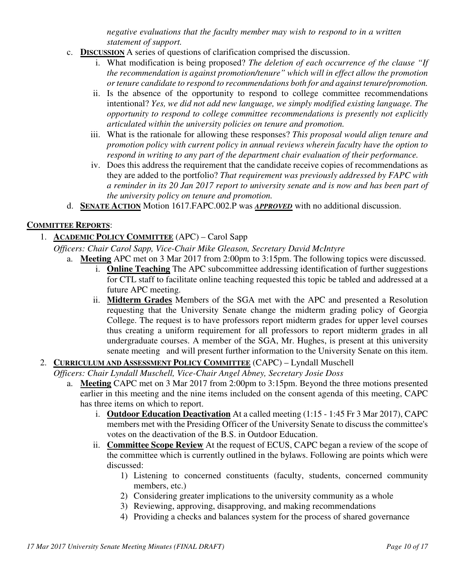*negative evaluations that the faculty member may wish to respond to in a written statement of support.* 

- c. **DISCUSSION** A series of questions of clarification comprised the discussion.
	- i. What modification is being proposed? *The deletion of each occurrence of the clause "If the recommendation is against promotion/tenure" which will in effect allow the promotion or tenure candidate to respond to recommendations both for and against tenure/promotion.*
	- ii. Is the absence of the opportunity to respond to college committee recommendations intentional? *Yes, we did not add new language, we simply modified existing language. The opportunity to respond to college committee recommendations is presently not explicitly articulated within the university policies on tenure and promotion.*
	- iii. What is the rationale for allowing these responses? *This proposal would align tenure and promotion policy with current policy in annual reviews wherein faculty have the option to respond in writing to any part of the department chair evaluation of their performance.*
	- iv. Does this address the requirement that the candidate receive copies of recommendations as they are added to the portfolio? *That requirement was previously addressed by FAPC with a reminder in its 20 Jan 2017 report to university senate and is now and has been part of the university policy on tenure and promotion.*
- d. **SENATE ACTION** Motion 1617.FAPC.002.P was *APPROVED* with no additional discussion.

#### **COMMITTEE REPORTS**:

### 1. **ACADEMIC POLICY COMMITTEE** (APC) – Carol Sapp

*Officers: Chair Carol Sapp, Vice-Chair Mike Gleason, Secretary David McIntyre*

- a. **Meeting** APC met on 3 Mar 2017 from 2:00pm to 3:15pm. The following topics were discussed.
	- i. **Online Teaching** The APC subcommittee addressing identification of further suggestions for CTL staff to facilitate online teaching requested this topic be tabled and addressed at a future APC meeting.
	- ii. **Midterm Grades** Members of the SGA met with the APC and presented a Resolution requesting that the University Senate change the midterm grading policy of Georgia College. The request is to have professors report midterm grades for upper level courses thus creating a uniform requirement for all professors to report midterm grades in all undergraduate courses. A member of the SGA, Mr. Hughes, is present at this university senate meeting and will present further information to the University Senate on this item.

# 2. **CURRICULUM AND ASSESSMENT POLICY COMMITTEE** (CAPC) – Lyndall Muschell

*Officers: Chair Lyndall Muschell, Vice-Chair Angel Abney, Secretary Josie Doss* 

- a. **Meeting** CAPC met on 3 Mar 2017 from 2:00pm to 3:15pm. Beyond the three motions presented earlier in this meeting and the nine items included on the consent agenda of this meeting, CAPC has three items on which to report.
	- i. **Outdoor Education Deactivation** At a called meeting (1:15 1:45 Fr 3 Mar 2017), CAPC members met with the Presiding Officer of the University Senate to discuss the committee's votes on the deactivation of the B.S. in Outdoor Education.
	- ii. **Committee Scope Review** At the request of ECUS, CAPC began a review of the scope of the committee which is currently outlined in the bylaws. Following are points which were discussed:
		- 1) Listening to concerned constituents (faculty, students, concerned community members, etc.)
		- 2) Considering greater implications to the university community as a whole
		- 3) Reviewing, approving, disapproving, and making recommendations
		- 4) Providing a checks and balances system for the process of shared governance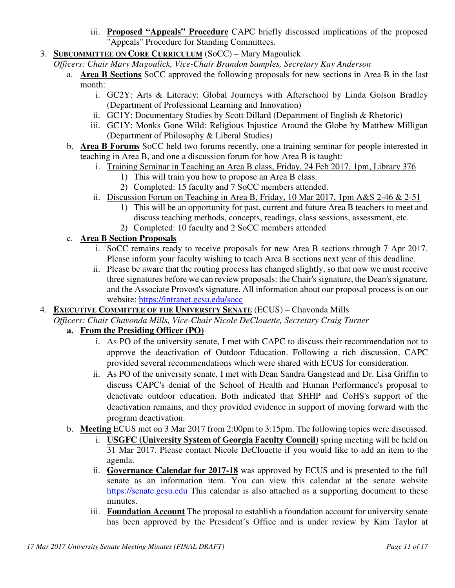- iii. **Proposed "Appeals" Procedure** CAPC briefly discussed implications of the proposed "Appeals" Procedure for Standing Committees.
- 3. **SUBCOMMITTEE ON CORE CURRICULUM** (SoCC) Mary Magoulick

*Officers: Chair Mary Magoulick, Vice-Chair Brandon Samples, Secretary Kay Anderson*

- a. **Area B Sections** SoCC approved the following proposals for new sections in Area B in the last month:
	- i. GC2Y: Arts & Literacy: Global Journeys with Afterschool by Linda Golson Bradley (Department of Professional Learning and Innovation)
	- ii. GC1Y: Documentary Studies by Scott Dillard (Department of English & Rhetoric)
	- iii. GC1Y: Monks Gone Wild: Religious Injustice Around the Globe by Matthew Milligan (Department of Philosophy & Liberal Studies)
- b. **Area B Forums** SoCC held two forums recently, one a training seminar for people interested in teaching in Area B, and one a discussion forum for how Area B is taught:
	- i. Training Seminar in Teaching an Area B class, Friday, 24 Feb 2017, 1pm, Library 376
		- 1) This will train you how to propose an Area B class.
		- 2) Completed: 15 faculty and 7 SoCC members attended.
	- ii. Discussion Forum on Teaching in Area B, Friday, 10 Mar 2017, 1pm A&S 2-46 & 2-51
		- 1) This will be an opportunity for past, current and future Area B teachers to meet and discuss teaching methods, concepts, readings, class sessions, assessment, etc.
		- 2) Completed: 10 faculty and 2 SoCC members attended

## c. **Area B Section Proposals**

- i. SoCC remains ready to receive proposals for new Area B sections through 7 Apr 2017. Please inform your faculty wishing to teach Area B sections next year of this deadline.
- ii. Please be aware that the routing process has changed slightly, so that now we must receive three signatures before we can review proposals: the Chair's signature, the Dean's signature, and the Associate Provost's signature. All information about our proposal process is on our website: https://intranet.gcsu.edu/socc
- 4. **EXECUTIVE COMMITTEE OF THE UNIVERSITY SENATE** (ECUS) Chavonda Mills

*Officers: Chair Chavonda Mills, Vice-Chair Nicole DeClouette, Secretary Craig Turner*

#### **a. From the Presiding Officer (PO)**

- i. As PO of the university senate, I met with CAPC to discuss their recommendation not to approve the deactivation of Outdoor Education. Following a rich discussion, CAPC provided several recommendations which were shared with ECUS for consideration.
- ii. As PO of the university senate, I met with Dean Sandra Gangstead and Dr. Lisa Griffin to discuss CAPC's denial of the School of Health and Human Performance's proposal to deactivate outdoor education. Both indicated that SHHP and CoHS's support of the deactivation remains, and they provided evidence in support of moving forward with the program deactivation.
- b. **Meeting** ECUS met on 3 Mar 2017 from 2:00pm to 3:15pm. The following topics were discussed.
	- i. **USGFC (University System of Georgia Faculty Council)** spring meeting will be held on 31 Mar 2017. Please contact Nicole DeClouette if you would like to add an item to the agenda.
	- ii. **Governance Calendar for 2017-18** was approved by ECUS and is presented to the full senate as an information item. You can view this calendar at the senate website https://senate.gcsu.edu This calendar is also attached as a supporting document to these minutes.
	- iii. **Foundation Account** The proposal to establish a foundation account for university senate has been approved by the President's Office and is under review by Kim Taylor at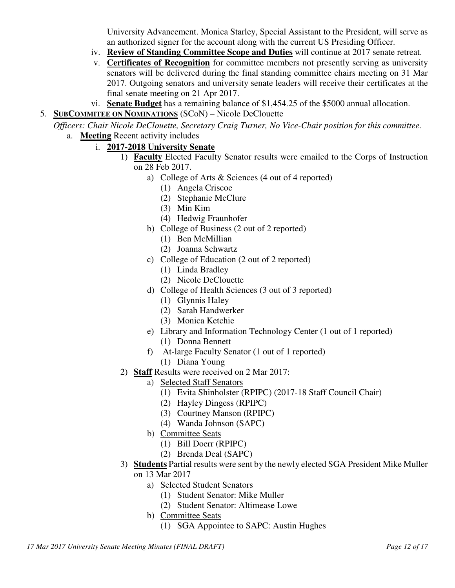University Advancement. Monica Starley, Special Assistant to the President, will serve as an authorized signer for the account along with the current US Presiding Officer.

- iv. **Review of Standing Committee Scope and Duties** will continue at 2017 senate retreat.
- v. **Certificates of Recognition** for committee members not presently serving as university senators will be delivered during the final standing committee chairs meeting on 31 Mar 2017. Outgoing senators and university senate leaders will receive their certificates at the final senate meeting on 21 Apr 2017.
- vi. **Senate Budget** has a remaining balance of \$1,454.25 of the \$5000 annual allocation.
- 5. **SUBCOMMITEE ON NOMINATIONS** (SCoN) Nicole DeClouette

*Officers: Chair Nicole DeClouette, Secretary Craig Turner, No Vice-Chair position for this committee.* a. **Meeting** Recent activity includes

- i. **2017-2018 University Senate**
	- 1) **Faculty** Elected Faculty Senator results were emailed to the Corps of Instruction on 28 Feb 2017.
		- a) College of Arts & Sciences (4 out of 4 reported)
			- (1) Angela Criscoe
			- (2) Stephanie McClure
			- (3) Min Kim
			- (4) Hedwig Fraunhofer
		- b) College of Business (2 out of 2 reported)
			- (1) Ben McMillian
			- (2) Joanna Schwartz
		- c) College of Education (2 out of 2 reported)
			- (1) Linda Bradley
			- (2) Nicole DeClouette
		- d) College of Health Sciences (3 out of 3 reported)
			- (1) Glynnis Haley
			- (2) Sarah Handwerker
			- (3) Monica Ketchie
		- e) Library and Information Technology Center (1 out of 1 reported) (1) Donna Bennett
		- f) At-large Faculty Senator (1 out of 1 reported)
			- (1) Diana Young
	- 2) **Staff** Results were received on 2 Mar 2017:
		- a) Selected Staff Senators
			- (1) Evita Shinholster (RPIPC) (2017-18 Staff Council Chair)
			- (2) Hayley Dingess (RPIPC)
			- (3) Courtney Manson (RPIPC)
			- (4) Wanda Johnson (SAPC)
		- b) Committee Seats
			- (1) Bill Doerr (RPIPC)
			- (2) Brenda Deal (SAPC)
	- 3) **Students** Partial results were sent by the newly elected SGA President Mike Muller on 13 Mar 2017
		- a) Selected Student Senators
			- (1) Student Senator: Mike Muller
			- (2) Student Senator: Altimease Lowe
		- b) Committee Seats
			- (1) SGA Appointee to SAPC: Austin Hughes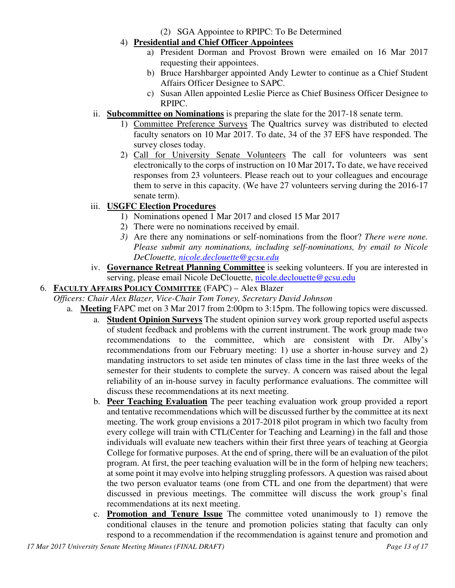- (2) SGA Appointee to RPIPC: To Be Determined
- 4) **Presidential and Chief Officer Appointees**
	- a) President Dorman and Provost Brown were emailed on 16 Mar 2017 requesting their appointees.
	- b) Bruce Harshbarger appointed Andy Lewter to continue as a Chief Student Affairs Officer Designee to SAPC.
	- c) Susan Allen appointed Leslie Pierce as Chief Business Officer Designee to RPIPC.
- ii. **Subcommittee on Nominations** is preparing the slate for the 2017-18 senate term.
	- 1) Committee Preference Surveys The Qualtrics survey was distributed to elected faculty senators on 10 Mar 2017. To date, 34 of the 37 EFS have responded. The survey closes today.
	- 2) Call for University Senate Volunteers The call for volunteers was sent electronically to the corps of instruction on 10 Mar 2017**.** To date, we have received responses from 23 volunteers. Please reach out to your colleagues and encourage them to serve in this capacity. (We have 27 volunteers serving during the 2016-17 senate term).

# iii. **USGFC Election Procedures**

- 1) Nominations opened 1 Mar 2017 and closed 15 Mar 2017
- 2) There were no nominations received by email.
- *3)* Are there any nominations or self-nominations from the floor? *There were none. Please submit any nominations, including self-nominations, by email to Nicole DeClouette, nicole.declouette@gcsu.edu*
- iv. **Governance Retreat Planning Committee** is seeking volunteers. If you are interested in serving, please email Nicole DeClouette, nicole.declouette@gcsu.edu

#### 6. **FACULTY AFFAIRS POLICY COMMITTEE** (FAPC) – Alex Blazer

*Officers: Chair Alex Blazer, Vice-Chair Tom Toney, Secretary David Johnson*

- a. **Meeting** FAPC met on 3 Mar 2017 from 2:00pm to 3:15pm. The following topics were discussed.
	- a. **Student Opinion Surveys** The student opinion survey work group reported useful aspects of student feedback and problems with the current instrument. The work group made two recommendations to the committee, which are consistent with Dr. Alby's recommendations from our February meeting: 1) use a shorter in-house survey and 2) mandating instructors to set aside ten minutes of class time in the last three weeks of the semester for their students to complete the survey. A concern was raised about the legal reliability of an in-house survey in faculty performance evaluations. The committee will discuss these recommendations at its next meeting.
	- b. **Peer Teaching Evaluation** The peer teaching evaluation work group provided a report and tentative recommendations which will be discussed further by the committee at its next meeting. The work group envisions a 2017-2018 pilot program in which two faculty from every college will train with CTL(Center for Teaching and Learning) in the fall and those individuals will evaluate new teachers within their first three years of teaching at Georgia College for formative purposes. At the end of spring, there will be an evaluation of the pilot program. At first, the peer teaching evaluation will be in the form of helping new teachers; at some point it may evolve into helping struggling professors. A question was raised about the two person evaluator teams (one from CTL and one from the department) that were discussed in previous meetings. The committee will discuss the work group's final recommendations at its next meeting.
	- c. **Promotion and Tenure Issue** The committee voted unanimously to 1) remove the conditional clauses in the tenure and promotion policies stating that faculty can only respond to a recommendation if the recommendation is against tenure and promotion and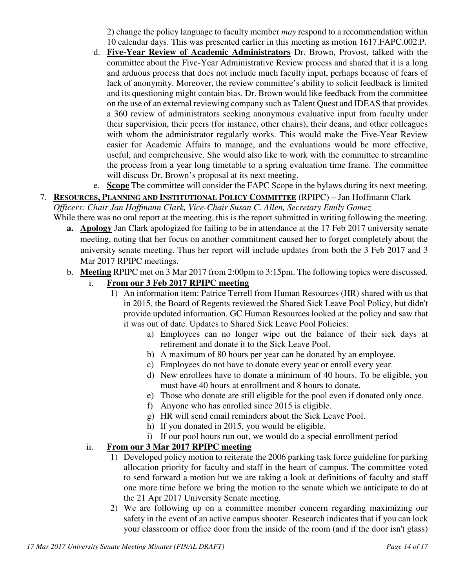2) change the policy language to faculty member *may* respond to a recommendation within 10 calendar days. This was presented earlier in this meeting as motion 1617.FAPC.002.P.

- d. **Five-Year Review of Academic Administrators** Dr. Brown, Provost, talked with the committee about the Five-Year Administrative Review process and shared that it is a long and arduous process that does not include much faculty input, perhaps because of fears of lack of anonymity. Moreover, the review committee's ability to solicit feedback is limited and its questioning might contain bias. Dr. Brown would like feedback from the committee on the use of an external reviewing company such as Talent Quest and IDEAS that provides a 360 review of administrators seeking anonymous evaluative input from faculty under their supervision, their peers (for instance, other chairs), their deans, and other colleagues with whom the administrator regularly works. This would make the Five-Year Review easier for Academic Affairs to manage, and the evaluations would be more effective, useful, and comprehensive. She would also like to work with the committee to streamline the process from a year long timetable to a spring evaluation time frame. The committee will discuss Dr. Brown's proposal at its next meeting.
- e. **Scope** The committee will consider the FAPC Scope in the bylaws during its next meeting.
- 7. **RESOURCES, PLANNING AND INSTITUTIONAL POLICY COMMITTEE** (RPIPC) Jan Hoffmann Clark *Officers: Chair Jan Hoffmann Clark, Vice-Chair Susan C. Allen, Secretary Emily Gomez*  While there was no oral report at the meeting, this is the report submitted in writing following the meeting.
	- **a. Apology** Jan Clark apologized for failing to be in attendance at the 17 Feb 2017 university senate meeting, noting that her focus on another commitment caused her to forget completely about the university senate meeting. Thus her report will include updates from both the 3 Feb 2017 and 3 Mar 2017 RPIPC meetings.
	- b. **Meeting** RPIPC met on 3 Mar 2017 from 2:00pm to 3:15pm. The following topics were discussed.
		- i. **From our 3 Feb 2017 RPIPC meeting**
			- 1) An information item: Patrice Terrell from Human Resources (HR) shared with us that in 2015, the Board of Regents reviewed the Shared Sick Leave Pool Policy, but didn't provide updated information. GC Human Resources looked at the policy and saw that it was out of date. Updates to Shared Sick Leave Pool Policies:
				- a) Employees can no longer wipe out the balance of their sick days at retirement and donate it to the Sick Leave Pool.
				- b) A maximum of 80 hours per year can be donated by an employee.
				- c) Employees do not have to donate every year or enroll every year.
				- d) New enrollees have to donate a minimum of 40 hours. To be eligible, you must have 40 hours at enrollment and 8 hours to donate.
				- e) Those who donate are still eligible for the pool even if donated only once.
				- f) Anyone who has enrolled since 2015 is eligible.
				- g) HR will send email reminders about the Sick Leave Pool.
				- h) If you donated in 2015, you would be eligible.
				- i) If our pool hours run out, we would do a special enrollment period

#### ii. **From our 3 Mar 2017 RPIPC meeting**

- 1) Developed policy motion to reiterate the 2006 parking task force guideline for parking allocation priority for faculty and staff in the heart of campus. The committee voted to send forward a motion but we are taking a look at definitions of faculty and staff one more time before we bring the motion to the senate which we anticipate to do at the 21 Apr 2017 University Senate meeting.
- 2) We are following up on a committee member concern regarding maximizing our safety in the event of an active campus shooter. Research indicates that if you can lock your classroom or office door from the inside of the room (and if the door isn't glass)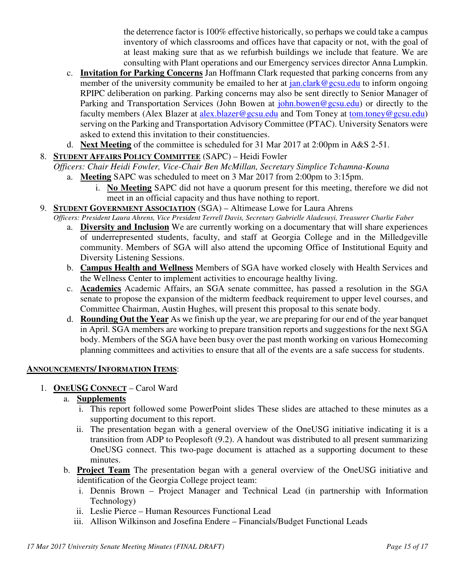the deterrence factor is 100% effective historically, so perhaps we could take a campus inventory of which classrooms and offices have that capacity or not, with the goal of at least making sure that as we refurbish buildings we include that feature. We are consulting with Plant operations and our Emergency services director Anna Lumpkin.

- c. **Invitation for Parking Concerns** Jan Hoffmann Clark requested that parking concerns from any member of the university community be emailed to her at jan.clark@gcsu.edu to inform ongoing RPIPC deliberation on parking. Parking concerns may also be sent directly to Senior Manager of Parking and Transportation Services (John Bowen at john.bowen@gcsu.edu) or directly to the faculty members (Alex Blazer at alex.blazer@gcsu.edu and Tom Toney at tom.toney@gcsu.edu) serving on the Parking and Transportation Advisory Committee (PTAC). University Senators were asked to extend this invitation to their constituencies.
- d. **Next Meeting** of the committee is scheduled for 31 Mar 2017 at 2:00pm in A&S 2-51.
- 8. **STUDENT AFFAIRS POLICY COMMITTEE** (SAPC) Heidi Fowler

*Officers: Chair Heidi Fowler, Vice-Chair Ben McMillan, Secretary Simplice Tchamna-Kouna*

- a. **Meeting** SAPC was scheduled to meet on 3 Mar 2017 from 2:00pm to 3:15pm.
	- i. **No Meeting** SAPC did not have a quorum present for this meeting, therefore we did not meet in an official capacity and thus have nothing to report.
- 9. **STUDENT GOVERNMENT ASSOCIATION** (SGA) Altimease Lowe for Laura Ahrens
	- *Officers: President Laura Ahrens, Vice President Terrell Davis, Secretary Gabrielle Aladesuyi, Treasurer Charlie Faber*
		- a. **Diversity and Inclusion** We are currently working on a documentary that will share experiences of underrepresented students, faculty, and staff at Georgia College and in the Milledgeville community. Members of SGA will also attend the upcoming Office of Institutional Equity and Diversity Listening Sessions.
		- b. **Campus Health and Wellness** Members of SGA have worked closely with Health Services and the Wellness Center to implement activities to encourage healthy living.
		- c. **Academics** Academic Affairs, an SGA senate committee, has passed a resolution in the SGA senate to propose the expansion of the midterm feedback requirement to upper level courses, and Committee Chairman, Austin Hughes, will present this proposal to this senate body.
		- d. **Rounding Out the Year** As we finish up the year, we are preparing for our end of the year banquet in April. SGA members are working to prepare transition reports and suggestions for the next SGA body. Members of the SGA have been busy over the past month working on various Homecoming planning committees and activities to ensure that all of the events are a safe success for students.

#### **ANNOUNCEMENTS/ INFORMATION ITEMS**:

1. **ONEUSG CONNECT** – Carol Ward

#### a. **Supplements**

- i. This report followed some PowerPoint slides These slides are attached to these minutes as a supporting document to this report.
- ii. The presentation began with a general overview of the OneUSG initiative indicating it is a transition from ADP to Peoplesoft (9.2). A handout was distributed to all present summarizing OneUSG connect. This two-page document is attached as a supporting document to these minutes.
- b. **Project Team** The presentation began with a general overview of the OneUSG initiative and identification of the Georgia College project team:
	- i. Dennis Brown Project Manager and Technical Lead (in partnership with Information Technology)
	- ii. Leslie Pierce Human Resources Functional Lead
	- iii. Allison Wilkinson and Josefina Endere Financials/Budget Functional Leads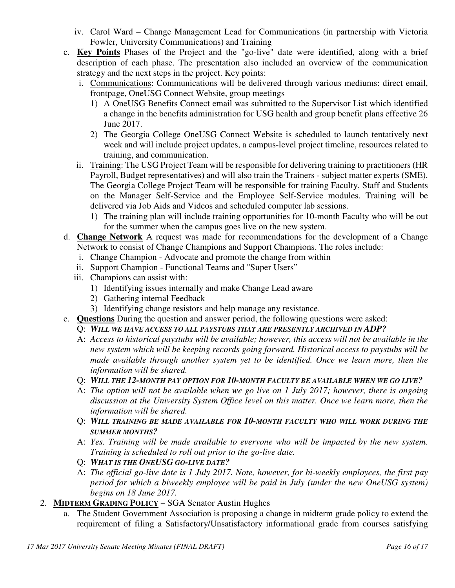- iv. Carol Ward Change Management Lead for Communications (in partnership with Victoria Fowler, University Communications) and Training
- c. **Key Points** Phases of the Project and the "go-live" date were identified, along with a brief description of each phase. The presentation also included an overview of the communication strategy and the next steps in the project. Key points:
	- i. Communications: Communications will be delivered through various mediums: direct email, frontpage, OneUSG Connect Website, group meetings
		- 1) A OneUSG Benefits Connect email was submitted to the Supervisor List which identified a change in the benefits administration for USG health and group benefit plans effective 26 June 2017.
		- 2) The Georgia College OneUSG Connect Website is scheduled to launch tentatively next week and will include project updates, a campus-level project timeline, resources related to training, and communication.
	- ii. Training: The USG Project Team will be responsible for delivering training to practitioners (HR Payroll, Budget representatives) and will also train the Trainers - subject matter experts (SME). The Georgia College Project Team will be responsible for training Faculty, Staff and Students on the Manager Self-Service and the Employee Self-Service modules. Training will be delivered via Job Aids and Videos and scheduled computer lab sessions.
		- 1) The training plan will include training opportunities for 10-month Faculty who will be out for the summer when the campus goes live on the new system.
- d. **Change Network** A request was made for recommendations for the development of a Change Network to consist of Change Champions and Support Champions. The roles include:
	- i. Change Champion Advocate and promote the change from within
	- ii. Support Champion Functional Teams and "Super Users"
	- iii. Champions can assist with:
		- 1) Identifying issues internally and make Change Lead aware
		- 2) Gathering internal Feedback
		- 3) Identifying change resistors and help manage any resistance.
- e. **Questions** During the question and answer period, the following questions were asked:
	- Q: *WILL WE HAVE ACCESS TO ALL PAYSTUBS THAT ARE PRESENTLY ARCHIVED IN ADP?*
	- A: *Access to historical paystubs will be available; however, this access will not be available in the new system which will be keeping records going forward. Historical access to paystubs will be made available through another system yet to be identified. Once we learn more, then the information will be shared.*
	- Q: *WILL THE 12-MONTH PAY OPTION FOR 10-MONTH FACULTY BE AVAILABLE WHEN WE GO LIVE?*
	- A: *The option will not be available when we go live on 1 July 2017; however, there is ongoing discussion at the University System Office level on this matter. Once we learn more, then the information will be shared.*
	- Q: *WILL TRAINING BE MADE AVAILABLE FOR 10-MONTH FACULTY WHO WILL WORK DURING THE SUMMER MONTHS?*
	- A: *Yes. Training will be made available to everyone who will be impacted by the new system. Training is scheduled to roll out prior to the go-live date.*
	- Q: *WHAT IS THE ONEUSG GO-LIVE DATE?*
	- A: *The official go-live date is 1 July 2017. Note, however, for bi-weekly employees, the first pay period for which a biweekly employee will be paid in July (under the new OneUSG system) begins on 18 June 2017.*
- 2. **MIDTERM GRADING POLICY** SGA Senator Austin Hughes
	- a. The Student Government Association is proposing a change in midterm grade policy to extend the requirement of filing a Satisfactory/Unsatisfactory informational grade from courses satisfying